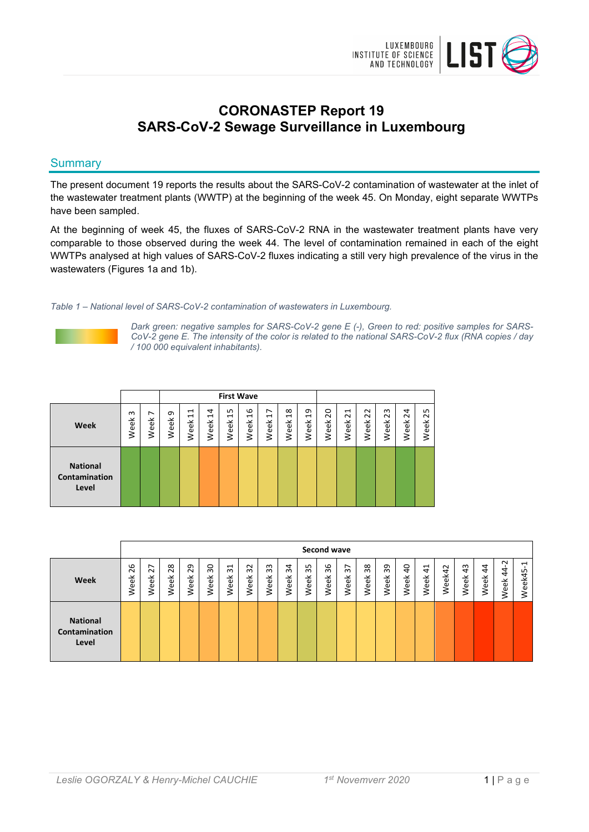

# **CORONASTEP Report 19 SARS-CoV-2 Sewage Surveillance in Luxembourg**

# **Summary**

The present document 19 reports the results about the SARS-CoV-2 contamination of wastewater at the inlet of the wastewater treatment plants (WWTP) at the beginning of the week 45. On Monday, eight separate WWTPs have been sampled.

At the beginning of week 45, the fluxes of SARS-CoV-2 RNA in the wastewater treatment plants have very comparable to those observed during the week 44. The level of contamination remained in each of the eight WWTPs analysed at high values of SARS-CoV-2 fluxes indicating a still very high prevalence of the virus in the wastewaters (Figures 1a and 1b).

*Table 1 – National level of SARS-CoV-2 contamination of wastewaters in Luxembourg.*



*Dark green: negative samples for SARS-CoV-2 gene E (-), Green to red: positive samples for SARS-CoV-2 gene E. The intensity of the color is related to the national SARS-CoV-2 flux (RNA copies / day / 100 000 equivalent inhabitants).*

|                                           |                |           |           |                                        |                             | <b>First Wave</b>                   |                       |                                    |                                           |                        |                        |                                               |                                                                                    |                                                      |                         |                                    |
|-------------------------------------------|----------------|-----------|-----------|----------------------------------------|-----------------------------|-------------------------------------|-----------------------|------------------------------------|-------------------------------------------|------------------------|------------------------|-----------------------------------------------|------------------------------------------------------------------------------------|------------------------------------------------------|-------------------------|------------------------------------|
| Week                                      | $\sim$<br>Week | ∼<br>Week | თ<br>Week | ⊣<br>$\mathbf{\mathbf{t}}$<br>eek<br>≷ | 4<br>$\overline{ }$<br>Week | LO<br>$\mathbf{\mathbf{H}}$<br>Week | $\frac{6}{1}$<br>Week | ↖<br>$\mathbf{\mathbf{d}}$<br>Week | $\infty$<br>$\mathbf{\mathbf{r}}$<br>Week | $\overline{a}$<br>Week | $\overline{c}$<br>Week | $\overline{\phantom{0}}$<br>$\sim$<br>⊻<br>မိ | $\sim$<br>$\overline{\mathbf{N}}$<br>⊻<br>$\omega$<br>$\bar{\mathbf{\sigma}}$<br>≷ | $\sim$<br>$\sim$<br>$\overline{\phantom{a}}$<br>Weel | $\overline{24}$<br>Week | LO<br>$\mathbf{\tilde{c}}$<br>Week |
| <b>National</b><br>Contamination<br>Level |                |           |           |                                        |                             |                                     |                       |                                    |                                           |                        |                        |                                               |                                                                                    |                                                      |                         |                                    |

|                                           |            |                                                   |            |            |            |                                             |                          |                                 |                           |                         | Second wave                     |                                                  |                                     |                |                       |                        |        |            |                |                             |                                     |
|-------------------------------------------|------------|---------------------------------------------------|------------|------------|------------|---------------------------------------------|--------------------------|---------------------------------|---------------------------|-------------------------|---------------------------------|--------------------------------------------------|-------------------------------------|----------------|-----------------------|------------------------|--------|------------|----------------|-----------------------------|-------------------------------------|
| Week                                      | 26<br>Week | $\overline{ }$<br>$\overline{\mathsf{C}}$<br>Week | 28<br>Week | 29<br>Week | ႙ၟ<br>Week | $\overline{ }$<br>$\omega$<br>eek<br>$\geq$ | $\sim$<br>$\sim$<br>Week | ന<br>$\overline{m}$<br>eek<br>≳ | $\frac{4}{3}$<br>eek<br>₹ | ഗ<br>$\sim$<br>eek<br>₹ | G<br>$\overline{m}$<br>eek<br>≷ | $\overline{\phantom{0}}$<br>$\omega$<br>eek<br>≥ | $\infty$<br>$\tilde{m}$<br>eek<br>≳ | 39<br>eek<br>₹ | $\overline{a}$<br>eek | $\overline{4}$<br>Week | Week42 | 43<br>Week | ₹<br>₹<br>Week | $\sim$<br>$\dot{4}$<br>Week | $\mathbf{\mathbf{d}}$<br>ഗ<br>Week4 |
| <b>National</b><br>Contamination<br>Level |            |                                                   |            |            |            |                                             |                          |                                 |                           |                         |                                 |                                                  |                                     |                |                       |                        |        |            |                |                             |                                     |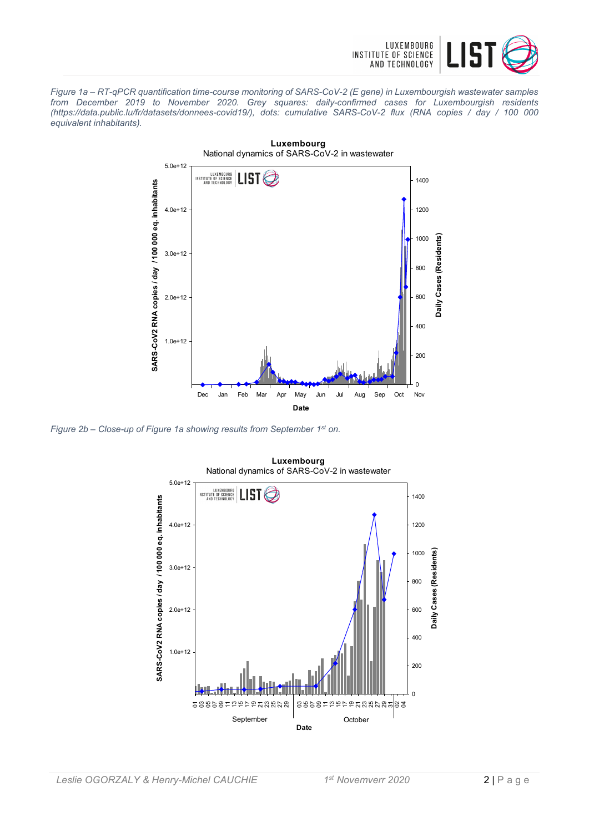

*Figure 1a – RT-qPCR quantification time-course monitoring of SARS-CoV-2 (E gene) in Luxembourgish wastewater samples from December 2019 to November 2020. Grey squares: daily-confirmed cases for Luxembourgish residents (https://data.public.lu/fr/datasets/donnees-covid19/), dots: cumulative SARS-CoV-2 flux (RNA copies / day / 100 000 equivalent inhabitants).*



*Figure 2b – Close-up of Figure 1a showing results from September 1st on.*



**Luxembourg** National dynamics of SARS-CoV-2 in wastewater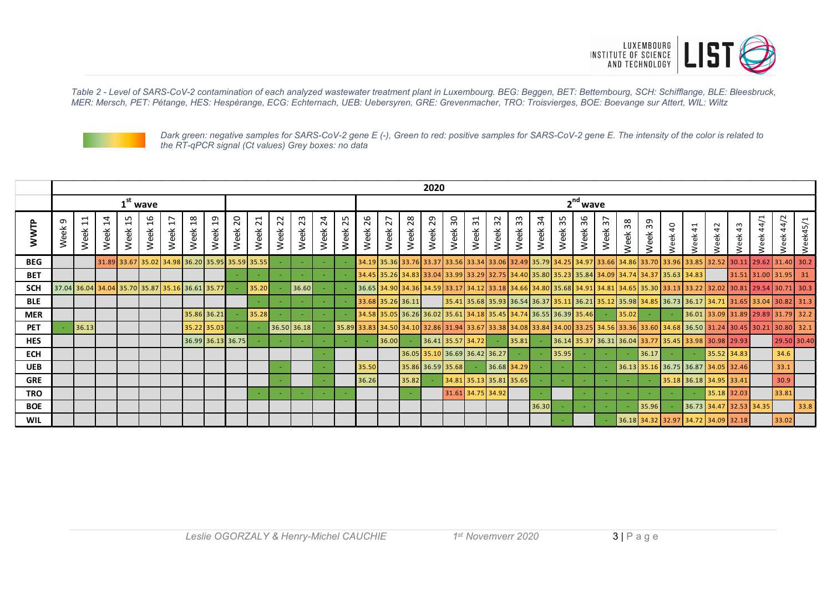

*Table 2 - Level of SARS-CoV-2 contamination of each analyzed wastewater treatment plant in Luxembourg. BEG: Beggen, BET: Bettembourg, SCH: Schifflange, BLE: Bleesbruck, MER: Mersch, PET: Pétange, HES: Hespèrange, ECG: Echternach, UEB: Uebersyren, GRE: Grevenmacher, TRO: Troisvierges, BOE: Boevange sur Attert, WIL: Wiltz*



*Dark green: negative samples for SARS-CoV-2 gene E (-), Green to red: positive samples for SARS-CoV-2 gene E. The intensity of the color is related to the RT-qPCR signal (Ct values) Grey boxes: no data*

|            | 2020      |                                                    |                        |                             |                             |                                                             |            |                                                 |                        |                     |                     |             |                        |                           |            |                   |            |                   |            |                                                                   |            |             |             |            |         |            |         |         |             |                                                                                                 |                     |                      |                                                                                                                                      |             |         |
|------------|-----------|----------------------------------------------------|------------------------|-----------------------------|-----------------------------|-------------------------------------------------------------|------------|-------------------------------------------------|------------------------|---------------------|---------------------|-------------|------------------------|---------------------------|------------|-------------------|------------|-------------------|------------|-------------------------------------------------------------------|------------|-------------|-------------|------------|---------|------------|---------|---------|-------------|-------------------------------------------------------------------------------------------------|---------------------|----------------------|--------------------------------------------------------------------------------------------------------------------------------------|-------------|---------|
|            |           |                                                    |                        |                             | $1st$ wave                  |                                                             |            |                                                 |                        |                     |                     |             |                        |                           | $2nd$ wave |                   |            |                   |            |                                                                   |            |             |             |            |         |            |         |         |             |                                                                                                 |                     |                      |                                                                                                                                      |             |         |
| WWTP       | თ<br>Week | $\overline{ }$<br>$\overline{\phantom{0}}$<br>Week | $\overline{1}$<br>Week | ഗ<br>$\overline{ }$<br>Week | G<br>$\overline{ }$<br>Week | $\overline{\phantom{0}}$<br>$\mathbf{\overline{d}}$<br>Week | 18<br>Week | $\overline{1}9$<br>Week                         | $\overline{c}$<br>Week | ⊣<br>$\sim$<br>Week | N<br>$\sim$<br>Week | 23<br>Week  | $\overline{a}$<br>Week | m<br>$\mathbf{N}$<br>Week | 26<br>Week | 27<br>Week        | 28<br>Week | 29<br>Week        | 30<br>Week | $\overline{31}$<br>Week                                           | 32<br>Week | 33<br>Week  | ર્સ<br>Week | 35<br>Week | Week 36 | 57<br>Week | Week 38 | Week 39 | eek 40<br>≳ | $\overline{4}$<br>eek<br>₹                                                                      | $\overline{a}$<br>ě | $\frac{3}{4}$<br>eek | 44/1<br>$\check{\mathrm{e}}$                                                                                                         | 44/2<br>ee  | eek45/1 |
| <b>BEG</b> |           |                                                    |                        |                             |                             |                                                             |            | 31.89 33.67 35.02 34.98 36.20 35.95 35.59 35.55 |                        |                     |                     |             |                        |                           |            |                   |            |                   |            |                                                                   |            |             |             |            |         |            |         |         |             |                                                                                                 |                     |                      | 34.29 35.36 33.76 33.37 33.56 33.34 33.06 32.49 35.79 34.25 34.97 33.66 34.86 33.70 33.96 33.85 32.52 30.11 29.62 31.40 30.2         |             |         |
| <b>BET</b> |           |                                                    |                        |                             |                             |                                                             |            |                                                 |                        |                     |                     |             |                        |                           |            |                   |            |                   |            |                                                                   |            |             |             |            |         |            |         |         |             | 34.45 35.26 34.83 35.26 34.83 35.84 34.09 35.80 35.80 35.82 35.84 34.09 34.74 34.37 35.63 34.83 |                     |                      | $31.51$ 31.00 31.95 31                                                                                                               |             |         |
| <b>SCH</b> |           |                                                    |                        |                             |                             |                                                             |            | 37.04 36.04 34.04 35.70 35.87 35.16 36.61 35.77 |                        | 35.20               |                     | 36.60       |                        |                           |            |                   |            |                   |            |                                                                   |            |             |             |            |         |            |         |         |             |                                                                                                 |                     |                      | 36.65 34.90 34.36 34.59 33.17 34.12 33.18 34.66 34.80 35.68 34.91 34.81 34.85 35.30 33.13 33.22 32.02 30.81 29.54 30.71 30.3         |             |         |
| <b>BLE</b> |           |                                                    |                        |                             |                             |                                                             |            |                                                 |                        |                     |                     |             |                        |                           |            | 33.68 35.26 36.11 |            |                   |            |                                                                   |            |             |             |            |         |            |         |         |             |                                                                                                 |                     |                      | 35.41   35.68   35.93   36.54   36.37   35.11   36.21   35.12   35.98   34.85   36.73   36.17   34.71   31.65   33.04   30.82   31.3 |             |         |
| <b>MER</b> |           |                                                    |                        |                             |                             |                                                             |            | 35.86 36.21                                     |                        | 35.28               |                     |             |                        |                           |            |                   |            |                   |            | 34.58 35.05 36.26 36.02 35.61 34.18 35.45 34.74 36.55 36.39 35.46 |            |             |             |            |         |            | 35.02   |         |             |                                                                                                 |                     |                      | 36.01 33.09 31.89 29.89 31.79 32.2                                                                                                   |             |         |
| <b>PET</b> |           | 36.13                                              |                        |                             |                             |                                                             |            | 35.22 35.03                                     |                        |                     |                     | 36.50 36.18 |                        |                           |            |                   |            |                   |            |                                                                   |            |             |             |            |         |            |         |         |             |                                                                                                 |                     |                      | 35.89 33.83 34.50 34.10 32.86 31.94 33.67 33.38 34.08 33.84 34.00 33.25 34.56 33.36 33.60 34.68 36.50 31.24 30.45 30.21 30.80 32.1   |             |         |
| <b>HES</b> |           |                                                    |                        |                             |                             |                                                             |            | 36.99 36.13 36.75                               |                        |                     |                     |             |                        |                           |            | 36.00             |            |                   |            | $36.41$ 35.57 34.72                                               |            | 35.81       |             |            |         |            |         |         |             | 36.14 35.37 36.31 36.04 33.77 35.45 33.98 30.98 29.93                                           |                     |                      |                                                                                                                                      | 29.50 30.40 |         |
| <b>ECH</b> |           |                                                    |                        |                             |                             |                                                             |            |                                                 |                        |                     |                     |             |                        |                           |            |                   |            |                   |            | 36.05 35.10 36.69 36.42 36.27                                     |            |             |             | 35.95      |         |            |         | 36.17   |             |                                                                                                 | 35.52 34.83         |                      |                                                                                                                                      | 34.6        |         |
| <b>UEB</b> |           |                                                    |                        |                             |                             |                                                             |            |                                                 |                        |                     |                     |             |                        |                           | 35.50      |                   |            | 35.86 36.59 35.68 |            |                                                                   |            | 36.68 34.29 |             |            |         |            |         |         |             | 36.13 35.16 36.75 36.87 34.05 32.46                                                             |                     |                      |                                                                                                                                      | 33.1        |         |
| <b>GRE</b> |           |                                                    |                        |                             |                             |                                                             |            |                                                 |                        |                     |                     |             |                        |                           | 36.26      |                   | 35.82      |                   |            | 34.81 35.13 35.81 35.65                                           |            |             |             |            |         |            |         |         |             | 35.18 36.18 34.95 33.41                                                                         |                     |                      |                                                                                                                                      | 30.9        |         |
| <b>TRO</b> |           |                                                    |                        |                             |                             |                                                             |            |                                                 |                        |                     |                     |             |                        |                           |            |                   |            |                   |            | 31.61 34.75 34.92                                                 |            |             |             |            |         |            |         |         |             |                                                                                                 | 35.18 32.03         |                      |                                                                                                                                      | 33.81       |         |
| <b>BOE</b> |           |                                                    |                        |                             |                             |                                                             |            |                                                 |                        |                     |                     |             |                        |                           |            |                   |            |                   |            |                                                                   |            |             | 36.30       |            |         |            |         | 35.96   |             |                                                                                                 |                     |                      | 36.73 34.47 32.53 34.35                                                                                                              |             | 33.8    |
| <b>WIL</b> |           |                                                    |                        |                             |                             |                                                             |            |                                                 |                        |                     |                     |             |                        |                           |            |                   |            |                   |            |                                                                   |            |             |             |            |         |            |         |         |             | 36.18 34.32 32.97 34.72 34.09 32.18                                                             |                     |                      |                                                                                                                                      | 33.02       |         |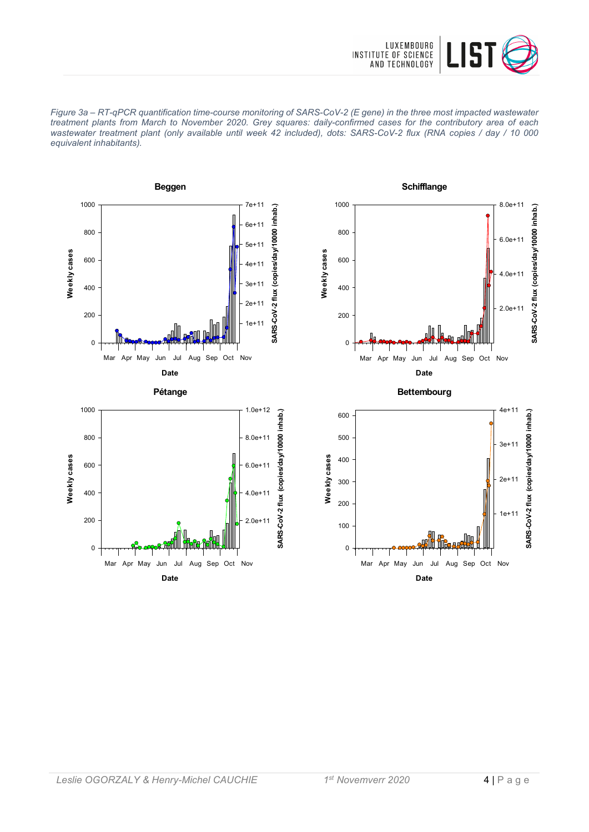

*Figure 3a – RT-qPCR quantification time-course monitoring of SARS-CoV-2 (E gene) in the three most impacted wastewater treatment plants from March to November 2020. Grey squares: daily-confirmed cases for the contributory area of each wastewater treatment plant (only available until week 42 included), dots: SARS-CoV-2 flux (RNA copies / day / 10 000 equivalent inhabitants).*









**Bettembourg**

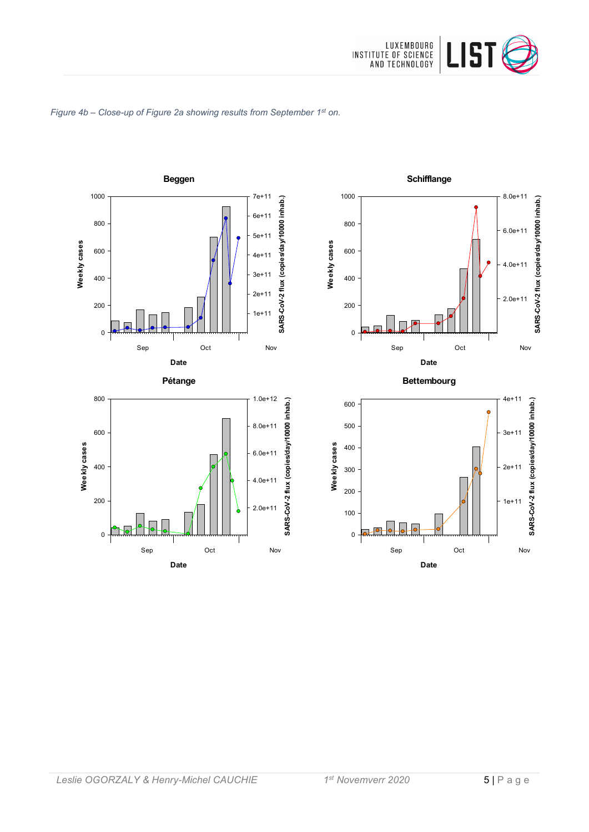

#### *Figure 4b – Close-up of Figure 2a showing results from September 1st on.*





**Bettembourg**

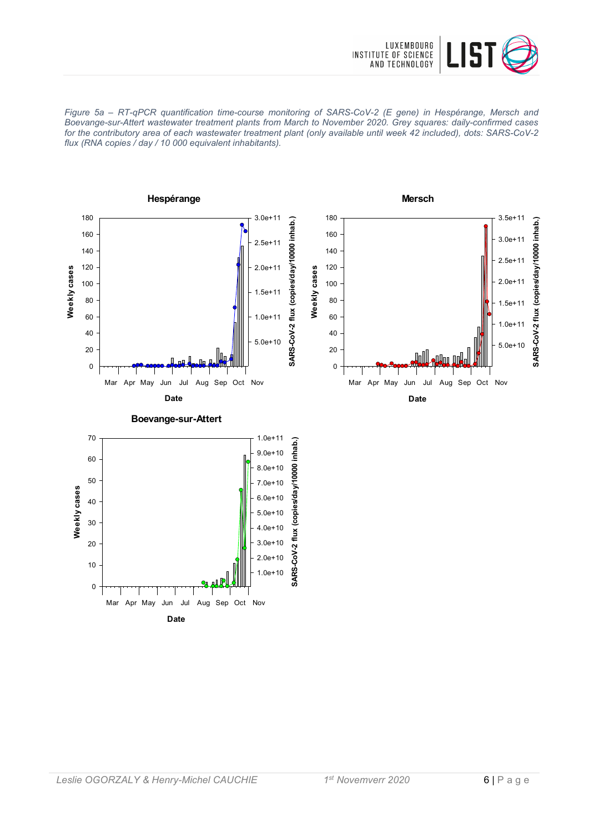

*Figure 5a – RT-qPCR quantification time-course monitoring of SARS-CoV-2 (E gene) in Hespérange, Mersch and Boevange-sur-Attert wastewater treatment plants from March to November 2020. Grey squares: daily-confirmed cases for the contributory area of each wastewater treatment plant (only available until week 42 included), dots: SARS-CoV-2 flux (RNA copies / day / 10 000 equivalent inhabitants).*

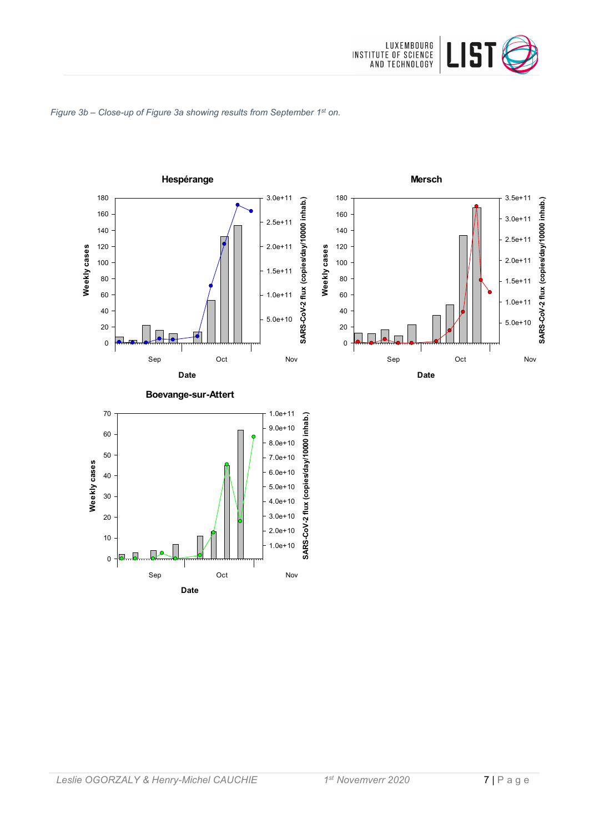

#### *Figure 3b – Close-up of Figure 3a showing results from September 1st on.*

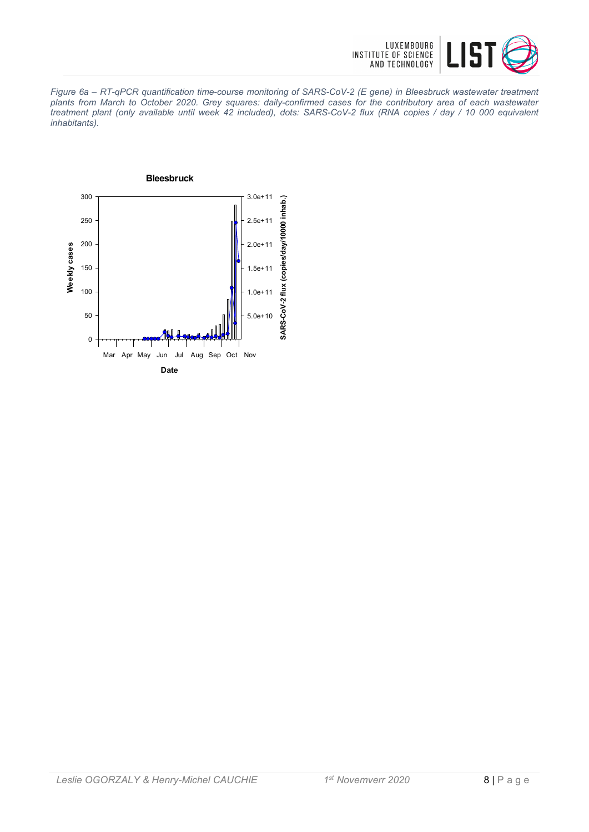

*Figure 6a – RT-qPCR quantification time-course monitoring of SARS-CoV-2 (E gene) in Bleesbruck wastewater treatment plants from March to October 2020. Grey squares: daily-confirmed cases for the contributory area of each wastewater treatment plant (only available until week 42 included), dots: SARS-CoV-2 flux (RNA copies / day / 10 000 equivalent inhabitants).*

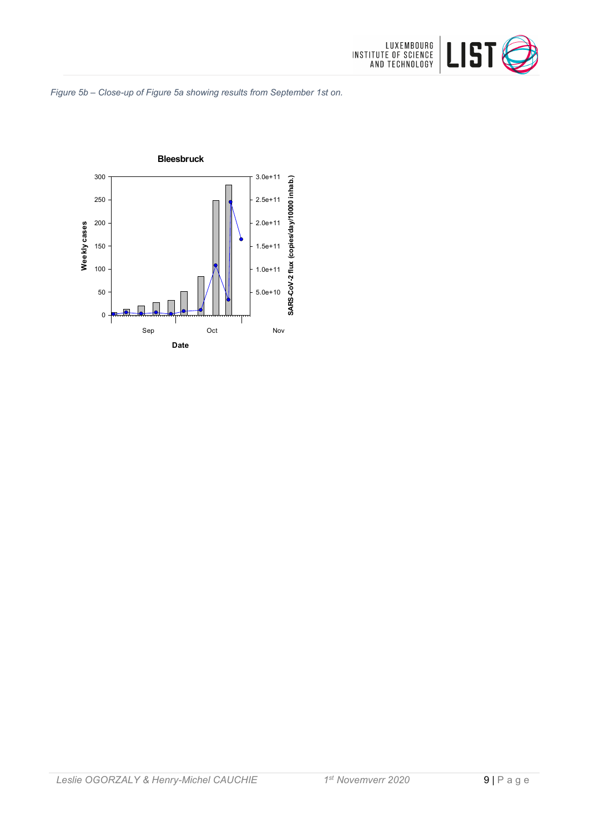

*Figure 5b – Close-up of Figure 5a showing results from September 1st on.*

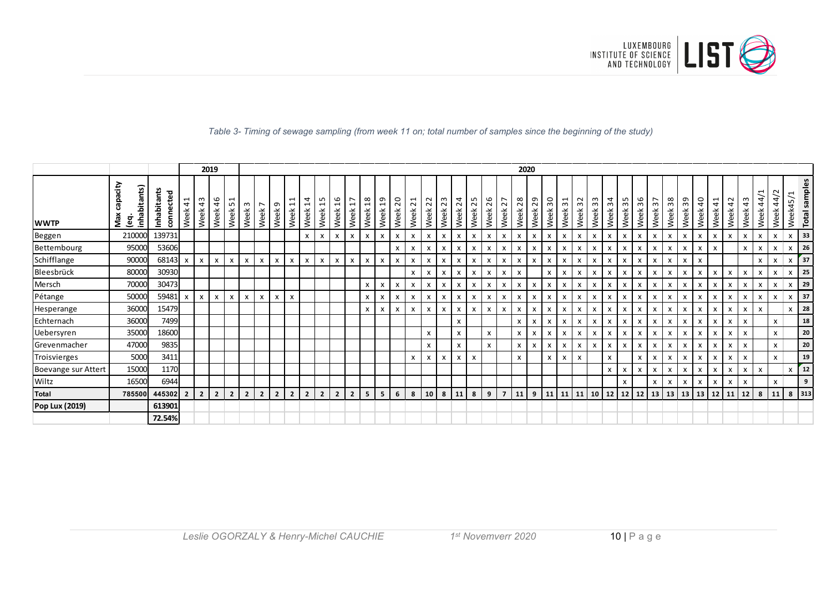

|                     |                                     |                          |                       |                       | 2019           |                |                           |                                  |                |                                                          |                        |                                        |                           |                  |                        |            |            |                        |              |                           |                         |              |            |                |                           | 2020       |                           |                           |                           |            |                           |              |              |                           |                      |            |           |                           |                           |                           |              |                                  |                           |                   |
|---------------------|-------------------------------------|--------------------------|-----------------------|-----------------------|----------------|----------------|---------------------------|----------------------------------|----------------|----------------------------------------------------------|------------------------|----------------------------------------|---------------------------|------------------|------------------------|------------|------------|------------------------|--------------|---------------------------|-------------------------|--------------|------------|----------------|---------------------------|------------|---------------------------|---------------------------|---------------------------|------------|---------------------------|--------------|--------------|---------------------------|----------------------|------------|-----------|---------------------------|---------------------------|---------------------------|--------------|----------------------------------|---------------------------|-------------------|
| <b>WWTP</b>         | acity<br>inhabitants)<br>Max<br>္မွ | Inhabitants<br>connected | $\frac{4}{1}$<br>Week | $\frac{3}{4}$<br>Week | 46<br>Week     | LO.<br>Week    | $\mathsf{c}$<br>Week      | $\overline{\phantom{0}}$<br>Week | თ<br>Week      | $\mathbf{\overline{u}}$<br>$\mathbf{\mathbf{H}}$<br>Week | $\overline{1}$<br>Week | LO.<br>$\mathbf{\overline{u}}$<br>Week | $\frac{9}{2}$<br>Week     | 77<br>Week       | $\frac{8}{18}$<br>Week | ្អ<br>Week | 20<br>Week | $\overline{z}$<br>Week | 22<br>Week   | 23<br>Week                | $\overline{24}$<br>Week | 25<br>Week   | 26<br>Week | 27<br>Week     | 28<br>Week                | 29<br>Week | 30<br>Week                | ⊣<br>$\mathsf{c}$<br>Week | 32<br>Week                | 33<br>Week | 34<br>Week                | 35<br>Week   | 36<br>Week   | 57<br>Week                | 38<br>Week           | 39<br>Week | 9<br>Week | $\overline{4}$<br>Week    | $\overline{4}$<br>Week    | $\frac{3}{2}$<br>Week     | 44/<br>Week  | $\sim$<br>$\overline{4}$<br>Week | Week45,                   | samples<br>Total: |
| Beggen              | 210000                              | 139731                   |                       |                       |                |                |                           |                                  |                |                                                          | X                      | $\mathsf{x}$                           | X                         | $\boldsymbol{x}$ | $\mathsf{x}$           | X          | x          | $\mathsf{x}$           | $\mathsf{x}$ | $\mathsf{x}$              | X                       | $\mathsf{x}$ | X          | $-$ X $-$      | X                         | X          | $\mathsf{x}$              | x                         | $\boldsymbol{\mathsf{x}}$ | x          | $\mathsf{x}$              | X            | $\mathsf{x}$ | $\mathsf{x}$              | X                    | X          | x         | $\mathsf{x}$              | $\boldsymbol{\mathsf{x}}$ | X                         | $\mathsf{x}$ | X                                | $\mathsf{x}$              | 33                |
| Bettembourg         | 95000                               | 53606                    |                       |                       |                |                |                           |                                  |                |                                                          |                        |                                        |                           |                  |                        |            | X          | X                      |              | X                         | X                       | $\mathsf{x}$ | X          | X              | $\boldsymbol{\mathsf{x}}$ |            | X                         | x                         | $\boldsymbol{\mathsf{x}}$ | X          | $\mathsf{x}$              | $\mathsf{x}$ | $\mathsf{x}$ | X                         | X                    | X          | X         |                           |                           | $\mathsf{x}$              | $\mathsf{x}$ | X                                | X                         | 26                |
| Schifflange         | 90000                               | 68143                    |                       | X                     | X              | X              | $\boldsymbol{\mathsf{x}}$ | X                                | X              | X                                                        | x                      | $\mathsf{x}$                           | $\boldsymbol{\mathsf{x}}$ | X                | x                      | x          | X          | X                      | X            | X                         | X                       | X            | x          | x              | X                         | X          | X                         | x                         | $\boldsymbol{\mathsf{x}}$ | X          | $\boldsymbol{\mathsf{x}}$ | X            | $\mathsf{x}$ | $\boldsymbol{\mathsf{x}}$ | X                    | X          | x         |                           |                           |                           | $\mathsf{x}$ | X                                | $\boldsymbol{\mathsf{x}}$ | 37                |
| Bleesbrück          | 80000                               | 30930                    |                       |                       |                |                |                           |                                  |                |                                                          |                        |                                        |                           |                  |                        |            |            | X                      | X            | X                         | X                       | $\mathsf{x}$ | x          | $\mathsf{x}$   | X                         |            | x                         | x                         | X                         | x          | $\mathsf{x}$              | X            | $\mathsf{x}$ | $\mathsf{x}$              | X                    | X          | x         | x                         | x                         | X                         | $\mathsf{x}$ | X                                | $\mathsf{x}$              | 25                |
| Mersch              | 70000                               | 30473                    |                       |                       |                |                |                           |                                  |                |                                                          |                        |                                        |                           |                  | $\mathsf{x}$           | x          | x          | X                      | X            | X                         | x                       | $\mathsf{x}$ | x          | $\mathsf{x}$   | X                         | X          | X                         | x                         | X                         | x          | $\mathsf{x}$              | X            | X            | X                         | X                    | X          | X         | x                         | x                         | X                         | $\mathsf{x}$ | X                                | $\boldsymbol{\mathsf{x}}$ | 29                |
| Pétange             | 50000                               | 59481                    |                       | X                     | X              | x              | X                         | $\mathsf{x}$                     | X              | X                                                        |                        |                                        |                           |                  | X                      | х          | X          | x                      | X            | x                         | x                       | X            | X          | $\mathsf{x}$   | X                         | X          | x                         | x                         | x                         | x          | X                         | X            | $\mathsf{x}$ | $\mathsf{x}$              | X                    | X          | х         |                           | X                         | X                         | $\mathsf{x}$ | x                                | $\mathsf{x}$              | 37                |
| Hesperange          | 36000                               | 15479                    |                       |                       |                |                |                           |                                  |                |                                                          |                        |                                        |                           |                  | X                      | x          | x          | $\mathsf{x}$           | $\mathsf{x}$ | $\mathsf{x}$              | X                       | $\mathsf{x}$ | x          | X              | X                         | X          | X                         | x                         | X                         | x          | $\mathsf{x}$              | X            | X            | $\mathsf{x}$              | X                    | x          | х         | x                         | x                         | $\mathsf{x}$              | $\mathsf{x}$ |                                  | $\boldsymbol{\mathsf{x}}$ | 28                |
| Echternach          | 36000                               | 7499                     |                       |                       |                |                |                           |                                  |                |                                                          |                        |                                        |                           |                  |                        |            |            |                        |              |                           | X                       |              |            |                | $\mathsf{x}$              | X          | $\mathsf{x}$              | x                         | $\mathsf{x}$              | x          | $\mathsf{x}$              | X            | $\mathsf{x}$ | $\mathsf{x}$              | X                    | X          | x         | $\mathsf{x}$              | $\mathsf{x}$              | $\mathsf{x}$              |              | $\mathsf{x}$                     |                           | 18                |
| Uebersyren          | 35000                               | 18600                    |                       |                       |                |                |                           |                                  |                |                                                          |                        |                                        |                           |                  |                        |            |            |                        | X            |                           | x                       |              | x          |                | X                         | X          | $\boldsymbol{\mathsf{x}}$ | x                         | X                         | x          | X                         | X            |              | $\boldsymbol{\mathsf{x}}$ | X                    | X          | x         |                           | X                         | $\boldsymbol{\mathsf{x}}$ |              | X                                |                           | 20                |
| Grevenmacher        | 47000                               | 9835                     |                       |                       |                |                |                           |                                  |                |                                                          |                        |                                        |                           |                  |                        |            |            |                        | X            |                           | X                       |              | x          |                | X                         | X          | X                         | x                         | X                         | x          | X                         | X            | X            | $\mathsf{x}$              | X                    | X          | х         |                           | X                         | $\boldsymbol{\mathsf{x}}$ |              | $\mathsf{x}$                     |                           | 20                |
| Troisvierges        | 5000                                | 3411                     |                       |                       |                |                |                           |                                  |                |                                                          |                        |                                        |                           |                  |                        |            |            | X                      | X            | $\boldsymbol{\mathsf{x}}$ | x                       | $\mathsf{x}$ |            |                | $\mathsf{x}$              |            | X                         | x                         | $\pmb{\chi}$              |            | $\pmb{\times}$            |              | X            | X                         | X                    | X          | x         | $\boldsymbol{\mathsf{x}}$ | X                         | $\pmb{\chi}$              |              | X                                |                           | 19                |
| Boevange sur Attert | 15000                               | 1170                     |                       |                       |                |                |                           |                                  |                |                                                          |                        |                                        |                           |                  |                        |            |            |                        |              |                           |                         |              |            |                |                           |            |                           |                           |                           |            | $\mathsf{x}$              | X            | X            | X                         | X                    | X          | x         | X                         | X                         | $\boldsymbol{\mathsf{x}}$ | $\mathsf{x}$ |                                  | X                         | 12                |
| Wiltz               | 16500                               | 6944                     |                       |                       |                |                |                           |                                  |                |                                                          |                        |                                        |                           |                  |                        |            |            |                        |              |                           |                         |              |            |                |                           |            |                           |                           |                           |            |                           | $\mathsf{x}$ |              | X                         |                      |            |           |                           | X                         | X                         |              | X                                |                           | -9                |
| <b>Total</b>        | 785500                              | 445302                   | $\overline{2}$        | $\overline{2}$        | $\overline{2}$ | $\overline{2}$ | $\overline{2}$            | $\overline{2}$                   | $\overline{2}$ | $\overline{2}$                                           | $\mathbf{2}$           | $\overline{2}$                         | $\overline{2}$            | $\overline{2}$   | 5                      | 5          | 6          | 8                      | 10           | 8                         | 11                      | 8            | 9          | $\overline{7}$ | 11                        | 9          | 11                        |                           | $11 \mid 11$              | 10         | <b>12</b>                 | 12           | 12           |                           | $13 \mid 13 \mid 13$ |            | 13        | 12                        | 11                        | 12                        | 8            | 11                               | 8 313                     |                   |
| Pop Lux (2019)      |                                     | 613901                   |                       |                       |                |                |                           |                                  |                |                                                          |                        |                                        |                           |                  |                        |            |            |                        |              |                           |                         |              |            |                |                           |            |                           |                           |                           |            |                           |              |              |                           |                      |            |           |                           |                           |                           |              |                                  |                           |                   |
|                     |                                     | 72.54%                   |                       |                       |                |                |                           |                                  |                |                                                          |                        |                                        |                           |                  |                        |            |            |                        |              |                           |                         |              |            |                |                           |            |                           |                           |                           |            |                           |              |              |                           |                      |            |           |                           |                           |                           |              |                                  |                           |                   |

*Table 3- Timing of sewage sampling (from week 11 on; total number of samples since the beginning of the study)*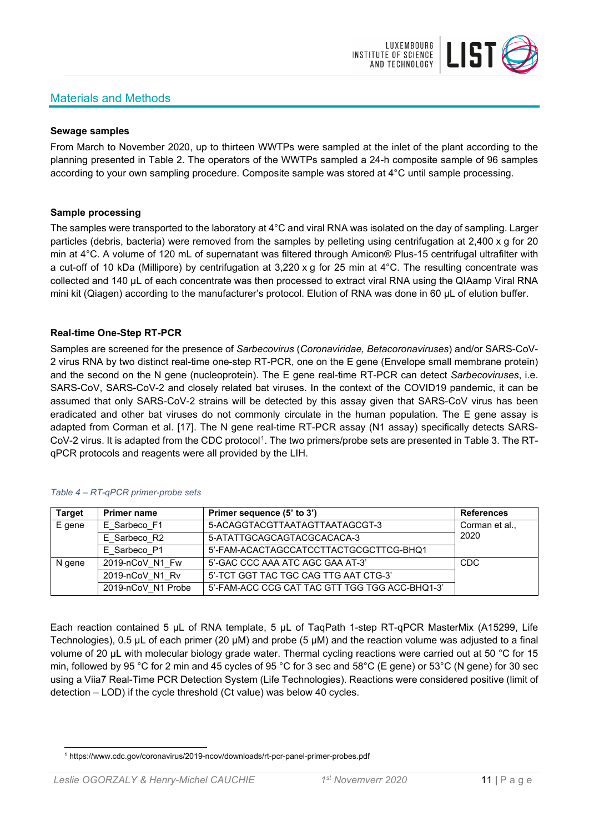# Materials and Methods



#### **Sewage samples**

From March to November 2020, up to thirteen WWTPs were sampled at the inlet of the plant according to the planning presented in Table 2. The operators of the WWTPs sampled a 24-h composite sample of 96 samples according to your own sampling procedure. Composite sample was stored at 4°C until sample processing.

#### **Sample processing**

The samples were transported to the laboratory at 4°C and viral RNA was isolated on the day of sampling. Larger particles (debris, bacteria) were removed from the samples by pelleting using centrifugation at 2,400 x g for 20 min at 4°C. A volume of 120 mL of supernatant was filtered through Amicon® Plus-15 centrifugal ultrafilter with a cut-off of 10 kDa (Millipore) by centrifugation at 3,220 x g for 25 min at 4°C. The resulting concentrate was collected and 140 µL of each concentrate was then processed to extract viral RNA using the QIAamp Viral RNA mini kit (Qiagen) according to the manufacturer's protocol. Elution of RNA was done in 60 μL of elution buffer.

## **Real-time One-Step RT-PCR**

Samples are screened for the presence of *Sarbecovirus* (*Coronaviridae, Betacoronaviruses*) and/or SARS-CoV-2 virus RNA by two distinct real-time one-step RT-PCR, one on the E gene (Envelope small membrane protein) and the second on the N gene (nucleoprotein). The E gene real-time RT-PCR can detect *Sarbecoviruses*, i.e. SARS-CoV, SARS-CoV-2 and closely related bat viruses. In the context of the COVID19 pandemic, it can be assumed that only SARS-CoV-2 strains will be detected by this assay given that SARS-CoV virus has been eradicated and other bat viruses do not commonly circulate in the human population. The E gene assay is adapted from Corman et al. [17]. The N gene real-time RT-PCR assay (N1 assay) specifically detects SARS-CoV-2 virus. It is adapted from the CDC protocol[1](#page-10-0). The two primers/probe sets are presented in Table 3. The RTqPCR protocols and reagents were all provided by the LIH.

| <b>Target</b> | <b>Primer name</b> | Primer sequence (5' to 3')                     | <b>References</b> |
|---------------|--------------------|------------------------------------------------|-------------------|
| E gene        | E Sarbeco F1       | 5-ACAGGTACGTTAATAGTTAATAGCGT-3                 | Corman et al.,    |
|               | E Sarbeco R2       | 5-ATATTGCAGCAGTACGCACACA-3                     | 2020              |
|               | E Sarbeco P1       | 5'-FAM-ACACTAGCCATCCTTACTGCGCTTCG-BHQ1         |                   |
| N gene        | 2019-nCoV N1 Fw    | 5'-GAC CCC AAA ATC AGC GAA AT-3'               | <b>CDC</b>        |
|               | 2019-nCoV N1 Rv    | 5'-TCT GGT TAC TGC CAG TTG AAT CTG-3'          |                   |
|               | 2019-nCoV N1 Probe | 5'-FAM-ACC CCG CAT TAC GTT TGG TGG ACC-BHQ1-3' |                   |

#### *Table 4 – RT-qPCR primer-probe sets*

Each reaction contained 5 μL of RNA template, 5 μL of TaqPath 1-step RT-qPCR MasterMix (A15299, Life Technologies), 0.5 µL of each primer (20 µM) and probe (5 µM) and the reaction volume was adjusted to a final volume of 20 μL with molecular biology grade water. Thermal cycling reactions were carried out at 50 °C for 15 min, followed by 95 °C for 2 min and 45 cycles of 95 °C for 3 sec and 58°C (E gene) or 53°C (N gene) for 30 sec using a Viia7 Real-Time PCR Detection System (Life Technologies). Reactions were considered positive (limit of detection – LOD) if the cycle threshold (Ct value) was below 40 cycles.

<span id="page-10-0"></span><sup>1</sup> https://www.cdc.gov/coronavirus/2019-ncov/downloads/rt-pcr-panel-primer-probes.pdf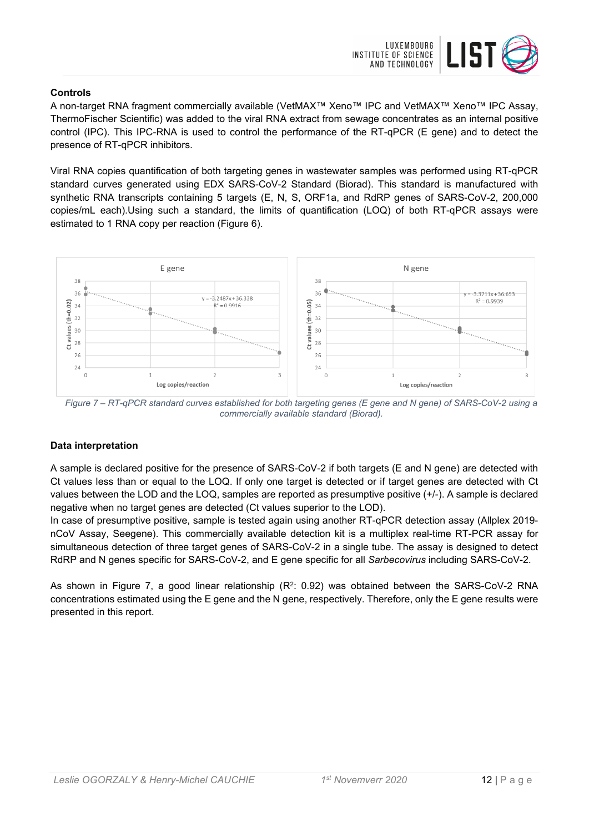

## **Controls**

A non-target RNA fragment commercially available (VetMAX™ Xeno™ IPC and VetMAX™ Xeno™ IPC Assay, ThermoFischer Scientific) was added to the viral RNA extract from sewage concentrates as an internal positive control (IPC). This IPC-RNA is used to control the performance of the RT-qPCR (E gene) and to detect the presence of RT-qPCR inhibitors.

Viral RNA copies quantification of both targeting genes in wastewater samples was performed using RT-qPCR standard curves generated using EDX SARS-CoV-2 Standard (Biorad). This standard is manufactured with synthetic RNA transcripts containing 5 targets (E, N, S, ORF1a, and RdRP genes of SARS-CoV-2, 200,000 copies/mL each).Using such a standard, the limits of quantification (LOQ) of both RT-qPCR assays were estimated to 1 RNA copy per reaction (Figure 6).



*Figure 7 – RT-qPCR standard curves established for both targeting genes (E gene and N gene) of SARS-CoV-2 using a commercially available standard (Biorad).*

# **Data interpretation**

A sample is declared positive for the presence of SARS-CoV-2 if both targets (E and N gene) are detected with Ct values less than or equal to the LOQ. If only one target is detected or if target genes are detected with Ct values between the LOD and the LOQ, samples are reported as presumptive positive (+/-). A sample is declared negative when no target genes are detected (Ct values superior to the LOD).

In case of presumptive positive, sample is tested again using another RT-qPCR detection assay (Allplex 2019 nCoV Assay, Seegene). This commercially available detection kit is a multiplex real-time RT-PCR assay for simultaneous detection of three target genes of SARS-CoV-2 in a single tube. The assay is designed to detect RdRP and N genes specific for SARS-CoV-2, and E gene specific for all *Sarbecovirus* including SARS-CoV-2.

As shown in Figure 7, a good linear relationship  $(R^2: 0.92)$  was obtained between the SARS-CoV-2 RNA concentrations estimated using the E gene and the N gene, respectively. Therefore, only the E gene results were presented in this report.